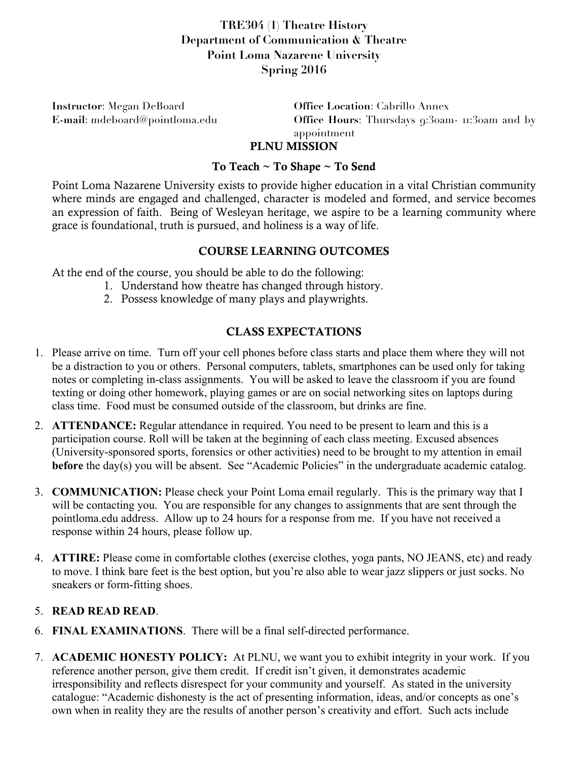## **TRE304 (1) Theatre History Department of Communication & Theatre Point Loma Nazarene University Spring 2016**

**Instructor**: Megan DeBoard **Office Location**: Cabrillo Annex

**E-mail**: mdeboard@pointloma.edu **Office Hours**: Thursdays 9:30am- 11:30am and by appointment PLNU MISSION

# To Teach ~ To Shape ~ To Send

#### Point Loma Nazarene University exists to provide higher education in a vital Christian community where minds are engaged and challenged, character is modeled and formed, and service becomes an expression of faith. Being of Wesleyan heritage, we aspire to be a learning community where grace is foundational, truth is pursued, and holiness is a way of life.

### COURSE LEARNING OUTCOMES

At the end of the course, you should be able to do the following:

- 1. Understand how theatre has changed through history.
- 2. Possess knowledge of many plays and playwrights.

## CLASS EXPECTATIONS

- 1. Please arrive on time. Turn off your cell phones before class starts and place them where they will not be a distraction to you or others. Personal computers, tablets, smartphones can be used only for taking notes or completing in-class assignments. You will be asked to leave the classroom if you are found texting or doing other homework, playing games or are on social networking sites on laptops during class time. Food must be consumed outside of the classroom, but drinks are fine.
- 2. **ATTENDANCE:** Regular attendance in required. You need to be present to learn and this is a participation course. Roll will be taken at the beginning of each class meeting. Excused absences (University-sponsored sports, forensics or other activities) need to be brought to my attention in email **before** the day(s) you will be absent. See "Academic Policies" in the undergraduate academic catalog.
- 3. **COMMUNICATION:** Please check your Point Loma email regularly. This is the primary way that I will be contacting you. You are responsible for any changes to assignments that are sent through the pointloma.edu address. Allow up to 24 hours for a response from me. If you have not received a response within 24 hours, please follow up.
- 4. **ATTIRE:** Please come in comfortable clothes (exercise clothes, yoga pants, NO JEANS, etc) and ready to move. I think bare feet is the best option, but you're also able to wear jazz slippers or just socks. No sneakers or form-fitting shoes.

#### 5. **READ READ READ**.

- 6. **FINAL EXAMINATIONS**. There will be a final self-directed performance.
- 7. **ACADEMIC HONESTY POLICY:** At PLNU, we want you to exhibit integrity in your work. If you reference another person, give them credit. If credit isn't given, it demonstrates academic irresponsibility and reflects disrespect for your community and yourself. As stated in the university catalogue: "Academic dishonesty is the act of presenting information, ideas, and/or concepts as one's own when in reality they are the results of another person's creativity and effort. Such acts include